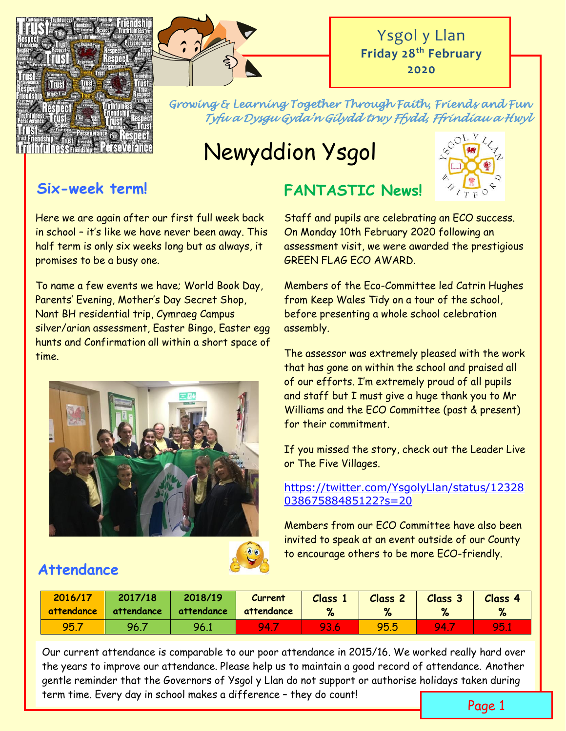



*Growing & Learning Together Through Faith, Friends and Fun Tyfu a Dysgu Gyda'n Gilydd trwy Ffydd, Ffrindiau a Hwyl* 

**FANTASTIC News!**

# Newyddion Ysgol



## **Six-week term!**

Here we are again after our first full week back in school – it's like we have never been away. This half term is only six weeks long but as always, it promises to be a busy one.

To name a few events we have; World Book Day, Parents' Evening, Mother's Day Secret Shop, Nant BH residential trip, Cymraeg Campus silver/arian assessment, Easter Bingo, Easter egg hunts and Confirmation all within a short space of time.





## **Attendance**

Staff and pupils are celebrating an ECO success. On Monday 10th February 2020 following an assessment visit, we were awarded the prestigious GREEN FLAG ECO AWARD.

Members of the Eco-Committee led Catrin Hughes from Keep Wales Tidy on a tour of the school, before presenting a whole school celebration assembly.

The assessor was extremely pleased with the work that has gone on within the school and praised all of our efforts. I'm extremely proud of all pupils and staff but I must give a huge thank you to Mr Williams and the ECO Committee (past & present) for their commitment.

If you missed the story, check out the Leader Live or The Five Villages.

#### [https://twitter.com/YsgolyLlan/status/12328](https://twitter.com/YsgolyLlan/status/1232803867588485122?s=20) [03867588485122?s=20](https://twitter.com/YsgolyLlan/status/1232803867588485122?s=20)

Members from our ECO Committee have also been invited to speak at an event outside of our County to encourage others to be more ECO-friendly.

| 2016/17<br>attendance | 2017/18<br>attendance | 2018/19<br>attendance | <b>Current</b><br>attendance | <b>Class</b><br>% | <b>Class 2</b> | Class 3 | Class 4<br>$\mathbf{Q}$ |
|-----------------------|-----------------------|-----------------------|------------------------------|-------------------|----------------|---------|-------------------------|
| 95.7                  | 96.7                  | 96.1                  | 94.                          | 93.6              | 95.5           | 94.     | <b>951</b>              |

Our current attendance is comparable to our poor attendance in 2015/16. We worked really hard over the years to improve our attendance. Please help us to maintain a good record of attendance. Another gentle reminder that the Governors of Ysgol y Llan do not support or authorise holidays taken during term time. Every day in school makes a difference – they do count!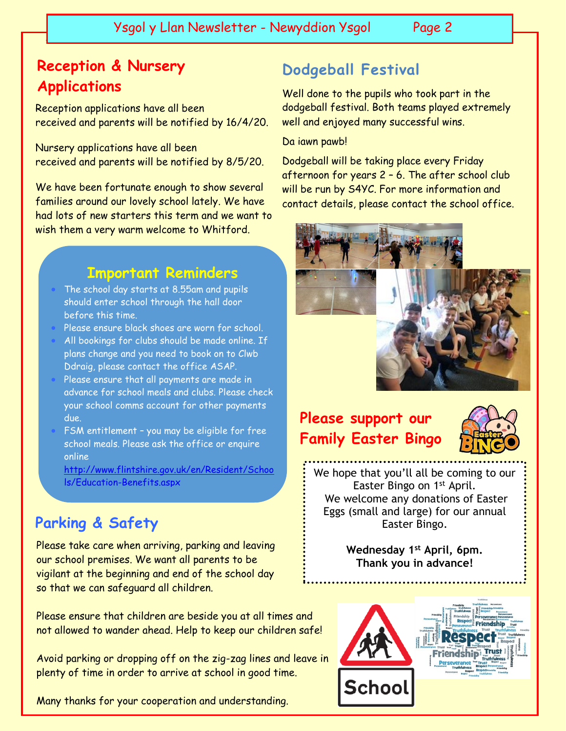Ysgol y Llan Newsletter - Newyddion Ysgol Page 2

## **Reception & Nursery Applications**

####

Reception applications have all been received and parents will be notified by 16/4/20.

Nursery applications have all been received and parents will be notified by 8/5/20.

We have been fortunate enough to show several families around our lovely school lately. We have had lots of new starters this term and we want to wish them a very warm welcome to Whitford.

## **Important Reminders**

- The school day starts at 8.55am and pupils should enter school through the hall door before this time.
- Please ensure black shoes are worn for school.
- All bookings for clubs should be made online. If plans change and you need to book on to Clwb Ddraig, please contact the office ASAP.
- Please ensure that all payments are made in advance for school meals and clubs. Please check your school comms account for other payments due.
- FSM entitlement you may be eligible for free school meals. Please ask the office or enquire online

[http://www.flintshire.gov.uk/en/Resident/Schoo](http://www.flintshire.gov.uk/en/Resident/Schools/Education-Benefits.aspx) [ls/Education-Benefits.aspx](http://www.flintshire.gov.uk/en/Resident/Schools/Education-Benefits.aspx)

## **Parking & Safety**

Please take care when arriving, parking and leaving our school premises. We want all parents to be vigilant at the beginning and end of the school day so that we can safeguard all children.

Please ensure that children are beside you at all times and not allowed to wander ahead. Help to keep our children safe!

Avoid parking or dropping off on the zig-zag lines and leave in plenty of time in order to arrive at school in good time.

Many thanks for your cooperation and understanding.

## **Dodgeball Festival**

Well done to the pupils who took part in the dodgeball festival. Both teams played extremely well and enjoyed many successful wins.

#### Da iawn pawb!

Dodgeball will be taking place every Friday afternoon for years 2 – 6. The after school club will be run by S4YC. For more information and contact details, please contact the school office.



## **Please support our Family Easter Bingo**



We hope that you'll all be coming to our Easter Bingo on 1<sup>st</sup> April. We welcome any donations of Easter Eggs (small and large) for our annual Easter Bingo.

> **Wednesday 1st April, 6pm. Thank you in advance!**

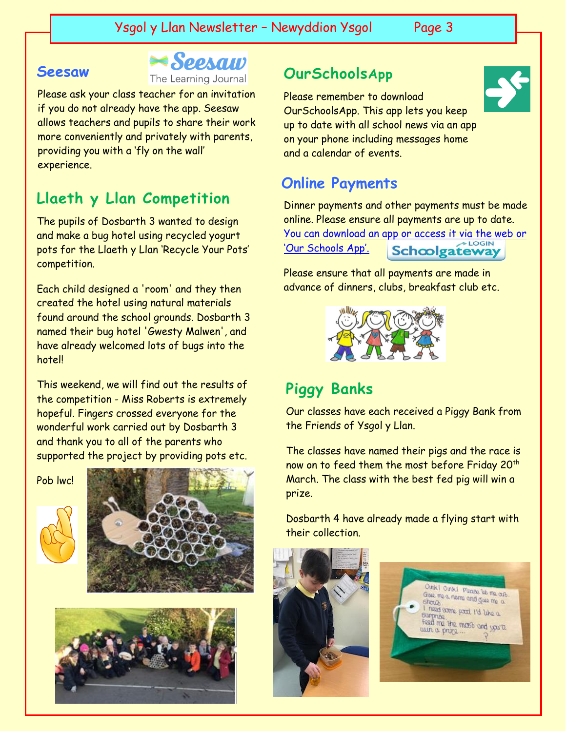**Seesaw** The Learning Journal **OurSchoolsApp** 

Please ask your class teacher for an invitation if you do not already have the app. Seesaw allows teachers and pupils to share their work more conveniently and privately with parents, providing you with a 'fly on the wall' experience.

## **Llaeth y Llan Competition**

The pupils of Dosbarth 3 wanted to design and make a bug hotel using recycled yogurt pots for the Llaeth y Llan 'Recycle Your Pots' competition.

Each child designed a 'room' and they then created the hotel using natural materials found around the school grounds. Dosbarth 3 named their bug hotel 'Gwesty Malwen', and have already welcomed lots of bugs into the hotel!

This weekend, we will find out the results of the competition - Miss Roberts is extremely hopeful. Fingers crossed everyone for the wonderful work carried out by Dosbarth 3 and thank you to all of the parents who supported the project by providing pots etc.

Pob lwc!







Please remember to download OurSchoolsApp. This app lets you keep up to date with all school news via an app on your phone including messages home and a calendar of events.

## **Online Payments**

Dinner payments and other payments must be made online. Please ensure all payments are up to date. [You can download an app or access it via the web or](https://login.schoolgateway.com/0/auth/login)  ['Our Schools App'.](https://login.schoolgateway.com/0/auth/login) Schoolgateway

Please ensure that all payments are made in advance of dinners, clubs, breakfast club etc.



## **Piggy Banks**

Our classes have each received a Piggy Bank from the Friends of Ysgol y Llan.

The classes have named their pigs and the race is now on to feed them the most before Friday 20th March. The class with the best fed pig will win a prize.

Dosbarth 4 have already made a flying start with their collection.